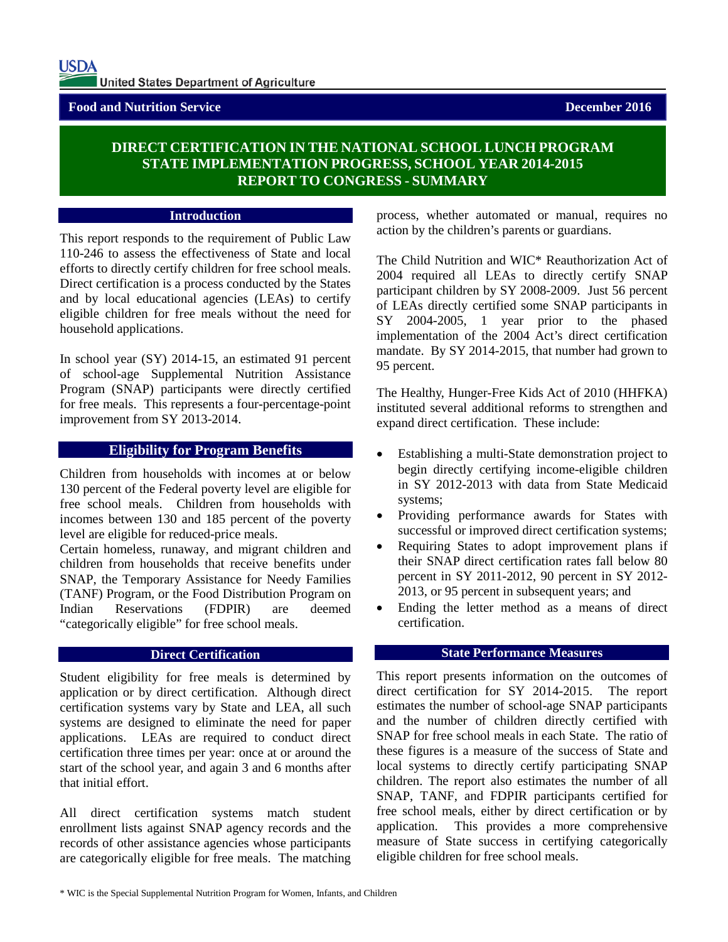## **Food and Nutrition Service December 2016**

# **DIRECT CERTIFICATION IN THE NATIONAL SCHOOL LUNCH PROGRAM STATE IMPLEMENTATION PROGRESS, SCHOOL YEAR 2014-2015 REPORT TO CONGRESS - SUMMARY**

#### **Introduction**

This report responds to the requirement of Public Law 110-246 to assess the effectiveness of State and local efforts to directly certify children for free school meals. Direct certification is a process conducted by the States and by local educational agencies (LEAs) to certify eligible children for free meals without the need for household applications.

In school year (SY) 2014-15, an estimated 91 percent of school-age Supplemental Nutrition Assistance Program (SNAP) participants were directly certified for free meals. This represents a four-percentage-point improvement from SY 2013-2014.

## **Eligibility for Program Benefits**

Children from households with incomes at or below 130 percent of the Federal poverty level are eligible for free school meals. Children from households with incomes between 130 and 185 percent of the poverty level are eligible for reduced-price meals.

Certain homeless, runaway, and migrant children and children from households that receive benefits under SNAP, the Temporary Assistance for Needy Families (TANF) Program, or the Food Distribution Program on Indian Reservations (FDPIR) are deemed "categorically eligible" for free school meals.

## **Direct Certification**

Student eligibility for free meals is determined by application or by direct certification. Although direct certification systems vary by State and LEA, all such systems are designed to eliminate the need for paper applications. LEAs are required to conduct direct certification three times per year: once at or around the start of the school year, and again 3 and 6 months after that initial effort.

All direct certification systems match student enrollment lists against SNAP agency records and the records of other assistance agencies whose participants are categorically eligible for free meals. The matching process, whether automated or manual, requires no action by the children's parents or guardians.

The Child Nutrition and WIC\* Reauthorization Act of 2004 required all LEAs to directly certify SNAP participant children by SY 2008-2009. Just 56 percent of LEAs directly certified some SNAP participants in SY 2004-2005, 1 year prior to the phased implementation of the 2004 Act's direct certification mandate. By SY 2014-2015, that number had grown to 95 percent.

The Healthy, Hunger-Free Kids Act of 2010 (HHFKA) instituted several additional reforms to strengthen and expand direct certification. These include:

- Establishing a multi-State demonstration project to begin directly certifying income-eligible children in SY 2012-2013 with data from State Medicaid systems;
- Providing performance awards for States with successful or improved direct certification systems;
- Requiring States to adopt improvement plans if their SNAP direct certification rates fall below 80 percent in SY 2011-2012, 90 percent in SY 2012- 2013, or 95 percent in subsequent years; and
- Ending the letter method as a means of direct certification.

## **State Performance Measures**

This report presents information on the outcomes of direct certification for SY 2014-2015. The report estimates the number of school-age SNAP participants and the number of children directly certified with SNAP for free school meals in each State. The ratio of these figures is a measure of the success of State and local systems to directly certify participating SNAP children. The report also estimates the number of all SNAP, TANF, and FDPIR participants certified for free school meals, either by direct certification or by application. This provides a more comprehensive measure of State success in certifying categorically eligible children for free school meals.